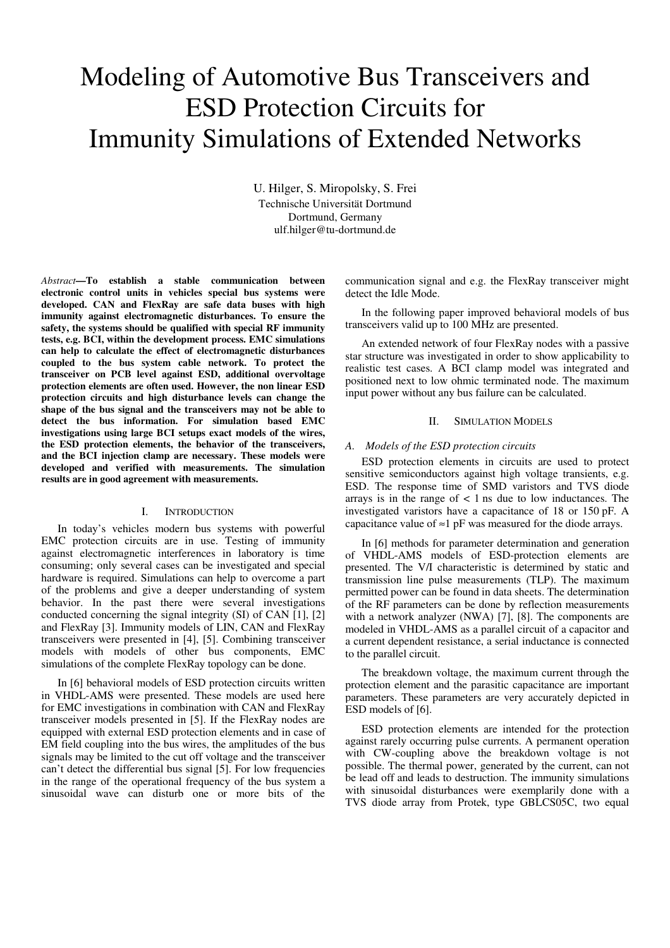# Modeling of Automotive Bus Transceivers and ESD Protection Circuits for Immunity Simulations of Extended Networks

U. Hilger, S. Miropolsky, S. Frei Technische Universität Dortmund Dortmund, Germany ulf.hilger@tu-dortmund.de

*Abstract***—To establish a stable communication between electronic control units in vehicles special bus systems were developed. CAN and FlexRay are safe data buses with high immunity against electromagnetic disturbances. To ensure the safety, the systems should be qualified with special RF immunity tests, e.g. BCI, within the development process. EMC simulations can help to calculate the effect of electromagnetic disturbances coupled to the bus system cable network. To protect the transceiver on PCB level against ESD, additional overvoltage protection elements are often used. However, the non linear ESD protection circuits and high disturbance levels can change the shape of the bus signal and the transceivers may not be able to detect the bus information. For simulation based EMC investigations using large BCI setups exact models of the wires, the ESD protection elements, the behavior of the transceivers, and the BCI injection clamp are necessary. These models were developed and verified with measurements. The simulation results are in good agreement with measurements.** 

## I. INTRODUCTION

In today's vehicles modern bus systems with powerful EMC protection circuits are in use. Testing of immunity against electromagnetic interferences in laboratory is time consuming; only several cases can be investigated and special hardware is required. Simulations can help to overcome a part of the problems and give a deeper understanding of system behavior. In the past there were several investigations conducted concerning the signal integrity (SI) of CAN [1], [2] and FlexRay [3]. Immunity models of LIN, CAN and FlexRay transceivers were presented in [4], [5]. Combining transceiver models with models of other bus components, EMC simulations of the complete FlexRay topology can be done.

In [6] behavioral models of ESD protection circuits written in VHDL-AMS were presented. These models are used here for EMC investigations in combination with CAN and FlexRay transceiver models presented in [5]. If the FlexRay nodes are equipped with external ESD protection elements and in case of EM field coupling into the bus wires, the amplitudes of the bus signals may be limited to the cut off voltage and the transceiver can't detect the differential bus signal [5]. For low frequencies in the range of the operational frequency of the bus system a sinusoidal wave can disturb one or more bits of the communication signal and e.g. the FlexRay transceiver might detect the Idle Mode.

In the following paper improved behavioral models of bus transceivers valid up to 100 MHz are presented.

An extended network of four FlexRay nodes with a passive star structure was investigated in order to show applicability to realistic test cases. A BCI clamp model was integrated and positioned next to low ohmic terminated node. The maximum input power without any bus failure can be calculated.

#### II. SIMULATION MODELS

## *A. Models of the ESD protection circuits*

ESD protection elements in circuits are used to protect sensitive semiconductors against high voltage transients, e.g. ESD. The response time of SMD varistors and TVS diode arrays is in the range of  $\lt$  1 ns due to low inductances. The investigated varistors have a capacitance of 18 or 150 pF. A capacitance value of  $\approx$ 1 pF was measured for the diode arrays.

In [6] methods for parameter determination and generation of VHDL-AMS models of ESD-protection elements are presented. The V/I characteristic is determined by static and transmission line pulse measurements (TLP). The maximum permitted power can be found in data sheets. The determination of the RF parameters can be done by reflection measurements with a network analyzer (NWA) [7], [8]. The components are modeled in VHDL-AMS as a parallel circuit of a capacitor and a current dependent resistance, a serial inductance is connected to the parallel circuit.

The breakdown voltage, the maximum current through the protection element and the parasitic capacitance are important parameters. These parameters are very accurately depicted in ESD models of [6].

ESD protection elements are intended for the protection against rarely occurring pulse currents. A permanent operation with CW-coupling above the breakdown voltage is not possible. The thermal power, generated by the current, can not be lead off and leads to destruction. The immunity simulations with sinusoidal disturbances were exemplarily done with a TVS diode array from Protek, type GBLCS05C, two equal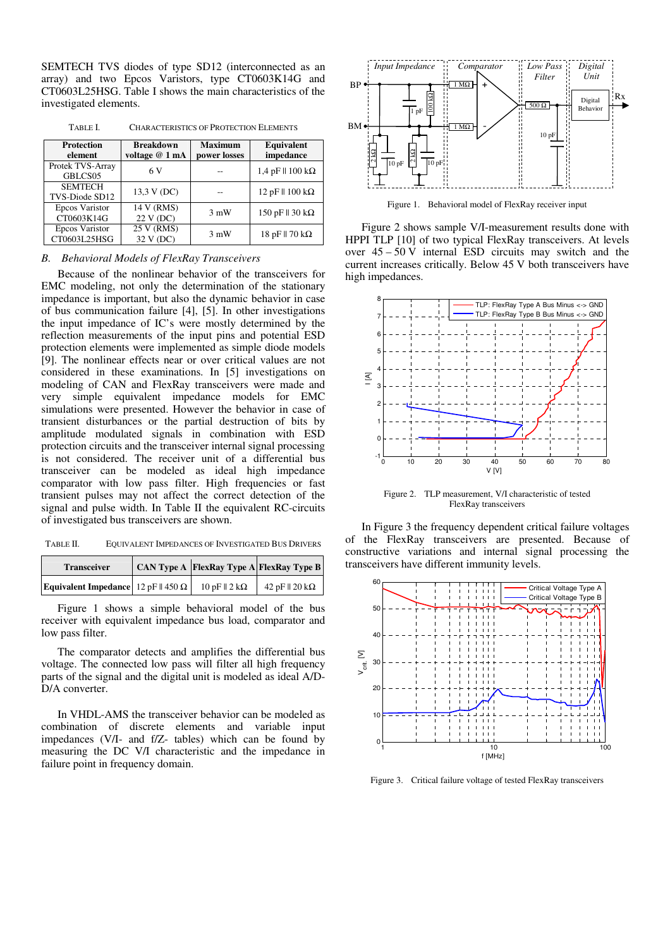SEMTECH TVS diodes of type SD12 (interconnected as an array) and two Epcos Varistors, type CT0603K14G and CT0603L25HSG. Table I shows the main characteristics of the investigated elements.

TABLE I. CHARACTERISTICS OF PROTECTION ELEMENTS

| <b>Protection</b><br>element     | <b>Breakdown</b><br>voltage @ 1 mA | <b>Maximum</b><br>power losses | <b>Equivalent</b><br>impedance   |
|----------------------------------|------------------------------------|--------------------------------|----------------------------------|
| Protek TVS-Array<br>GBLCS05      | 6 V                                |                                | $1.4$ pF $\parallel$ 100 kΩ      |
| <b>SEMTECH</b><br>TVS-Diode SD12 | 13,3 V (DC)                        |                                | 12 pF $\parallel$ 100 kΩ         |
| Epcos Varistor<br>CT0603K14G     | 14 V (RMS)<br>22 V (DC)            | $3 \text{ mW}$                 | 150 pF $\parallel$ 30 k $\Omega$ |
| Epcos Varistor<br>CT0603L25HSG   | 25 V (RMS)<br>32 V (DC)            | $3 \text{ mW}$                 | 18 pF $\parallel$ 70 k $\Omega$  |

*B. Behavioral Models of FlexRay Transceivers* 

Because of the nonlinear behavior of the transceivers for EMC modeling, not only the determination of the stationary impedance is important, but also the dynamic behavior in case of bus communication failure [4], [5]. In other investigations the input impedance of IC's were mostly determined by the reflection measurements of the input pins and potential ESD protection elements were implemented as simple diode models [9]. The nonlinear effects near or over critical values are not considered in these examinations. In [5] investigations on modeling of CAN and FlexRay transceivers were made and very simple equivalent impedance models for EMC simulations were presented. However the behavior in case of transient disturbances or the partial destruction of bits by amplitude modulated signals in combination with ESD protection circuits and the transceiver internal signal processing is not considered. The receiver unit of a differential bus transceiver can be modeled as ideal high impedance comparator with low pass filter. High frequencies or fast transient pulses may not affect the correct detection of the signal and pulse width. In Table II the equivalent RC-circuits of investigated bus transceivers are shown.

TABLE II. EQUIVALENT IMPEDANCES OF INVESTIGATED BUS DRIVERS

| <b>Transceiver</b>                         | <b>CAN Type A FlexRay Type A FlexRay Type B</b> |                         |
|--------------------------------------------|-------------------------------------------------|-------------------------|
| Equivalent Impedance $12 pF    450 \Omega$ | $10pF$   2 k $\Omega$                           | 42 pF $\parallel$ 20 kΩ |

Figure 1 shows a simple behavioral model of the bus receiver with equivalent impedance bus load, comparator and low pass filter.

The comparator detects and amplifies the differential bus voltage. The connected low pass will filter all high frequency parts of the signal and the digital unit is modeled as ideal A/D-D/A converter.

In VHDL-AMS the transceiver behavior can be modeled as combination of discrete elements and variable input impedances (V/I- and f/Z- tables) which can be found by measuring the DC V/I characteristic and the impedance in failure point in frequency domain.



Figure 1. Behavioral model of FlexRay receiver input

Figure 2 shows sample V/I-measurement results done with HPPI TLP [10] of two typical FlexRay transceivers. At levels over 45 – 50 V internal ESD circuits may switch and the current increases critically. Below 45 V both transceivers have high impedances.



Figure 2. TLP measurement, V/I characteristic of tested FlexRay transceivers

In Figure 3 the frequency dependent critical failure voltages of the FlexRay transceivers are presented. Because of constructive variations and internal signal processing the transceivers have different immunity levels.



Figure 3. Critical failure voltage of tested FlexRay transceivers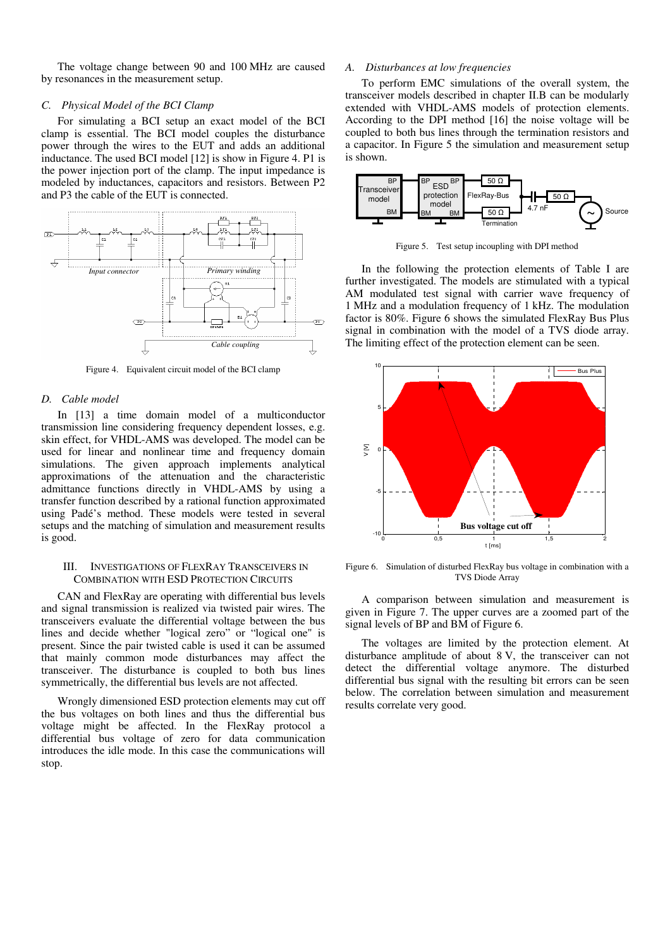The voltage change between 90 and 100 MHz are caused by resonances in the measurement setup.

# *C. Physical Model of the BCI Clamp*

For simulating a BCI setup an exact model of the BCI clamp is essential. The BCI model couples the disturbance power through the wires to the EUT and adds an additional inductance. The used BCI model [12] is show in Figure 4. P1 is the power injection port of the clamp. The input impedance is modeled by inductances, capacitors and resistors. Between P2 and P3 the cable of the EUT is connected.



Figure 4. Equivalent circuit model of the BCI clamp

## *D. Cable model*

In [13] a time domain model of a multiconductor transmission line considering frequency dependent losses, e.g. skin effect, for VHDL-AMS was developed. The model can be used for linear and nonlinear time and frequency domain simulations. The given approach implements analytical approximations of the attenuation and the characteristic admittance functions directly in VHDL-AMS by using a transfer function described by a rational function approximated using Padé's method. These models were tested in several setups and the matching of simulation and measurement results is good.

# III. INVESTIGATIONS OF FLEXRAY TRANSCEIVERS IN COMBINATION WITH ESD PROTECTION CIRCUITS

CAN and FlexRay are operating with differential bus levels and signal transmission is realized via twisted pair wires. The transceivers evaluate the differential voltage between the bus lines and decide whether "logical zero" or "logical one" is present. Since the pair twisted cable is used it can be assumed that mainly common mode disturbances may affect the transceiver. The disturbance is coupled to both bus lines symmetrically, the differential bus levels are not affected.

Wrongly dimensioned ESD protection elements may cut off the bus voltages on both lines and thus the differential bus voltage might be affected. In the FlexRay protocol a differential bus voltage of zero for data communication introduces the idle mode. In this case the communications will stop.

# *A. Disturbances at low frequencies*

To perform EMC simulations of the overall system, the transceiver models described in chapter II.B can be modularly extended with VHDL-AMS models of protection elements. According to the DPI method [16] the noise voltage will be coupled to both bus lines through the termination resistors and a capacitor. In Figure 5 the simulation and measurement setup is shown.



Figure 5. Test setup incoupling with DPI method

In the following the protection elements of Table I are further investigated. The models are stimulated with a typical AM modulated test signal with carrier wave frequency of 1 MHz and a modulation frequency of 1 kHz. The modulation factor is 80%. Figure 6 shows the simulated FlexRay Bus Plus signal in combination with the model of a TVS diode array. The limiting effect of the protection element can be seen.



Figure 6. Simulation of disturbed FlexRay bus voltage in combination with a TVS Diode Array

A comparison between simulation and measurement is given in Figure 7. The upper curves are a zoomed part of the signal levels of BP and BM of Figure 6.

The voltages are limited by the protection element. At disturbance amplitude of about 8 V, the transceiver can not detect the differential voltage anymore. The disturbed differential bus signal with the resulting bit errors can be seen below. The correlation between simulation and measurement results correlate very good.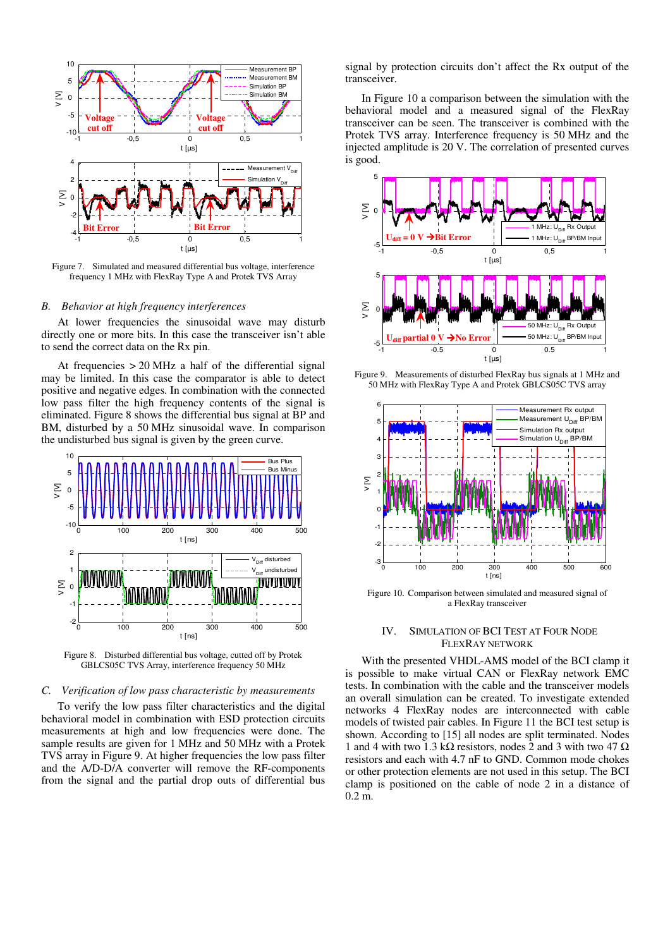

Figure 7. Simulated and measured differential bus voltage, interference frequency 1 MHz with FlexRay Type A and Protek TVS Array

## *B. Behavior at high frequency interferences*

At lower frequencies the sinusoidal wave may disturb directly one or more bits. In this case the transceiver isn't able to send the correct data on the Rx pin.

At frequencies > 20 MHz a half of the differential signal may be limited. In this case the comparator is able to detect positive and negative edges. In combination with the connected low pass filter the high frequency contents of the signal is eliminated. Figure 8 shows the differential bus signal at BP and BM, disturbed by a 50 MHz sinusoidal wave. In comparison the undisturbed bus signal is given by the green curve.



Figure 8. Disturbed differential bus voltage, cutted off by Protek GBLCS05C TVS Array, interference frequency 50 MHz

#### *C. Verification of low pass characteristic by measurements*

To verify the low pass filter characteristics and the digital behavioral model in combination with ESD protection circuits measurements at high and low frequencies were done. The sample results are given for 1 MHz and 50 MHz with a Protek TVS array in Figure 9. At higher frequencies the low pass filter and the A/D-D/A converter will remove the RF-components from the signal and the partial drop outs of differential bus

signal by protection circuits don't affect the Rx output of the transceiver.

In Figure 10 a comparison between the simulation with the behavioral model and a measured signal of the FlexRay transceiver can be seen. The transceiver is combined with the Protek TVS array. Interference frequency is 50 MHz and the injected amplitude is 20 V. The correlation of presented curves is good.



Figure 9. Measurements of disturbed FlexRay bus signals at 1 MHz and 50 MHz with FlexRay Type A and Protek GBLCS05C TVS array



Figure 10. Comparison between simulated and measured signal of a FlexRay transceiver

## IV. SIMULATION OF BCI TEST AT FOUR NODE FLEXRAY NETWORK

With the presented VHDL-AMS model of the BCI clamp it is possible to make virtual CAN or FlexRay network EMC tests. In combination with the cable and the transceiver models an overall simulation can be created. To investigate extended networks 4 FlexRay nodes are interconnected with cable models of twisted pair cables. In Figure 11 the BCI test setup is shown. According to [15] all nodes are split terminated. Nodes 1 and 4 with two 1.3 kΩ resistors, nodes 2 and 3 with two 47  $\Omega$ resistors and each with 4.7 nF to GND. Common mode chokes or other protection elements are not used in this setup. The BCI clamp is positioned on the cable of node 2 in a distance of 0.2 m.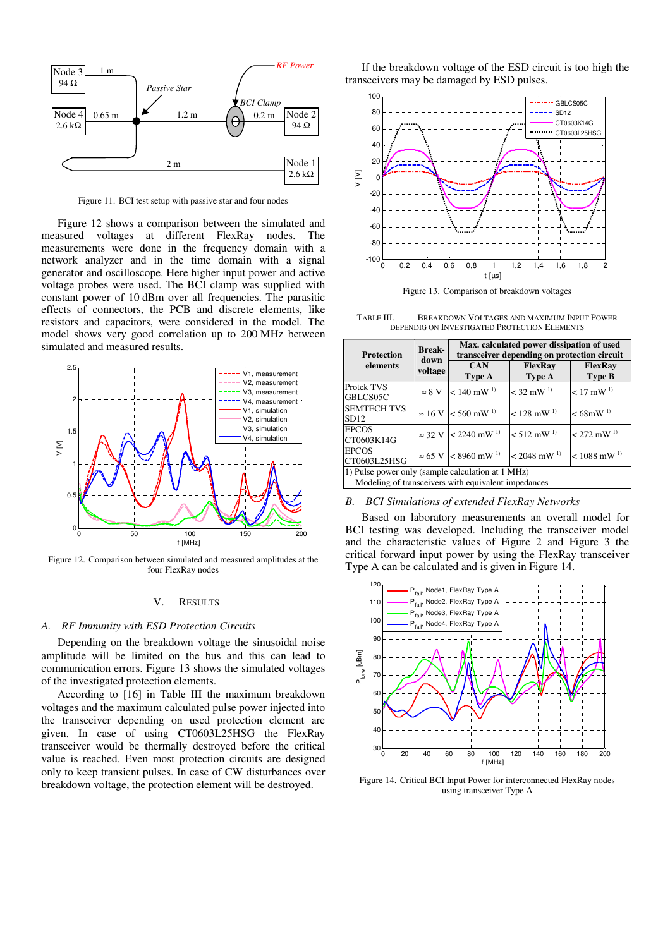

Figure 11. BCI test setup with passive star and four nodes

Figure 12 shows a comparison between the simulated and measured voltages at different FlexRay nodes. The measurements were done in the frequency domain with a network analyzer and in the time domain with a signal generator and oscilloscope. Here higher input power and active voltage probes were used. The BCI clamp was supplied with constant power of 10 dBm over all frequencies. The parasitic effects of connectors, the PCB and discrete elements, like resistors and capacitors, were considered in the model. The model shows very good correlation up to 200 MHz between simulated and measured results.



Figure 12. Comparison between simulated and measured amplitudes at the four FlexRay nodes

#### V. RESULTS

#### *A. RF Immunity with ESD Protection Circuits*

Depending on the breakdown voltage the sinusoidal noise amplitude will be limited on the bus and this can lead to communication errors. Figure 13 shows the simulated voltages of the investigated protection elements.

According to [16] in Table III the maximum breakdown voltages and the maximum calculated pulse power injected into the transceiver depending on used protection element are given. In case of using CT0603L25HSG the FlexRay transceiver would be thermally destroyed before the critical value is reached. Even most protection circuits are designed only to keep transient pulses. In case of CW disturbances over breakdown voltage, the protection element will be destroyed.

If the breakdown voltage of the ESD circuit is too high the transceivers may be damaged by ESD pulses.



Figure 13. Comparison of breakdown voltages

TABLE III. BREAKDOWN VOLTAGES AND MAXIMUM INPUT POWER DEPENDIG ON INVESTIGATED PROTECTION ELEMENTS

| <b>Protection</b><br>elements                                                                            | <b>Break-</b><br>down<br>voltage | Max. calculated power dissipation of used<br>transceiver depending on protection circuit |                           |                                 |  |  |
|----------------------------------------------------------------------------------------------------------|----------------------------------|------------------------------------------------------------------------------------------|---------------------------|---------------------------------|--|--|
|                                                                                                          |                                  | <b>CAN</b><br>Type A                                                                     | <b>FlexRay</b><br>Type A  | <b>FlexRay</b><br><b>Type B</b> |  |  |
| <b>Protek TVS</b><br>GBLCS05C                                                                            | $\approx 8$ V                    | $< 140$ mW <sup>1)</sup>                                                                 | $<$ 32 mW $^{1}$          | $< 17$ mW <sup>1)</sup>         |  |  |
| <b>SEMTECH TVS</b><br>SD12                                                                               |                                  | $\approx 16$ V $\leq 560$ mW <sup>1)</sup>                                               | $< 128$ mW <sup>1)</sup>  | $< 68$ mW <sup>1)</sup>         |  |  |
| <b>EPCOS</b><br>CT0603K14G                                                                               |                                  | $\approx$ 32 V $\leq$ 2240 mW <sup>1)</sup>                                              | $< 512$ mW <sup>1)</sup>  | $< 272$ mW <sup>1)</sup>        |  |  |
| <b>EPCOS</b><br>CT0603L25HSG                                                                             | $\approx 65$ V                   | $< 8960$ mW <sup>1)</sup>                                                                | $< 2048$ mW <sup>1)</sup> | $< 1088$ mW <sup>1)</sup>       |  |  |
| 1) Pulse power only (sample calculation at 1 MHz)<br>Modeling of transceivers with equivalent impedances |                                  |                                                                                          |                           |                                 |  |  |

## *B. BCI Simulations of extended FlexRay Networks*

Based on laboratory measurements an overall model for BCI testing was developed. Including the transceiver model and the characteristic values of Figure 2 and Figure 3 the critical forward input power by using the FlexRay transceiver Type A can be calculated and is given in Figure 14.



Figure 14. Critical BCI Input Power for interconnected FlexRay nodes using transceiver Type A